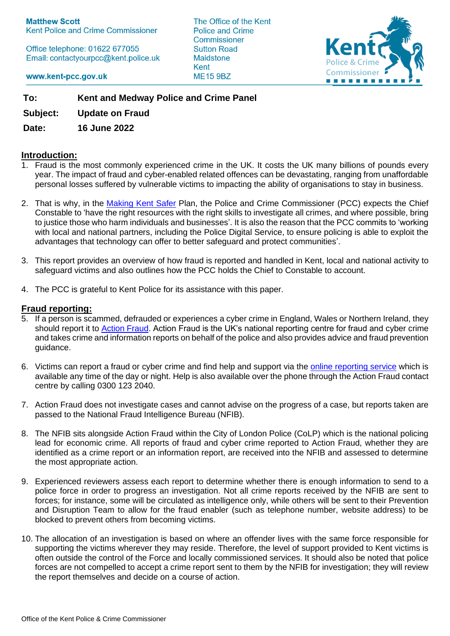**Matthew Scott** Kent Police and Crime Commissioner

Office telephone: 01622 677055 Email: contactyourpcc@kent.police.uk The Office of the Kent Police and Crime Commissioner **Sutton Road Maidstone** Kent **ME15 9BZ** 



www.kent-pcc.gov.uk

**To: Kent and Medway Police and Crime Panel**

**Subject: Update on Fraud**

**Date: 16 June 2022**

### **Introduction:**

- 1. Fraud is the most commonly experienced crime in the UK. It costs the UK many billions of pounds every year. The impact of fraud and cyber-enabled related offences can be devastating, ranging from unaffordable personal losses suffered by vulnerable victims to impacting the ability of organisations to stay in business.
- 2. That is why, in the [Making Kent Safer](https://www.kent-pcc.gov.uk/what-we-do/making-kent-safer-2022-25/) Plan, the Police and Crime Commissioner (PCC) expects the Chief Constable to 'have the right resources with the right skills to investigate all crimes, and where possible, bring to justice those who harm individuals and businesses'. It is also the reason that the PCC commits to 'working with local and national partners, including the Police Digital Service, to ensure policing is able to exploit the advantages that technology can offer to better safeguard and protect communities'.
- 3. This report provides an overview of how fraud is reported and handled in Kent, local and national activity to safeguard victims and also outlines how the PCC holds the Chief to Constable to account.
- 4. The PCC is grateful to Kent Police for its assistance with this paper.

### **Fraud reporting:**

- 5. If a person is scammed, defrauded or experiences a cyber crime in England, Wales or Northern Ireland, they should report it to [Action](https://www.actionfraud.police.uk/) Fraud. Action Fraud is the UK's national reporting centre for fraud and cyber crime and takes crime and information reports on behalf of the police and also provides advice and fraud prevention guidance.
- 6. Victims can report a fraud or cyber crime and find help and support via the [online reporting service](https://www.actionfraud.police.uk/how-to-report-fraud) which is available any time of the day or night. Help is also available over the phone through the Action Fraud contact centre by calling 0300 123 2040.
- 7. Action Fraud does not investigate cases and cannot advise on the progress of a case, but reports taken are passed to the National Fraud Intelligence Bureau (NFIB).
- 8. The NFIB sits alongside Action Fraud within the City of London Police (CoLP) which is the national policing lead for economic crime. All reports of fraud and cyber crime reported to Action Fraud, whether they are identified as a crime report or an information report, are received into the NFIB and assessed to determine the most appropriate action.
- 9. Experienced reviewers assess each report to determine whether there is enough information to send to a police force in order to progress an investigation. Not all crime reports received by the NFIB are sent to forces; for instance, some will be circulated as intelligence only, while others will be sent to their Prevention and Disruption Team to allow for the fraud enabler (such as telephone number, website address) to be blocked to prevent others from becoming victims.
- 10. The allocation of an investigation is based on where an offender lives with the same force responsible for supporting the victims wherever they may reside. Therefore, the level of support provided to Kent victims is often outside the control of the Force and locally commissioned services. It should also be noted that police forces are not compelled to accept a crime report sent to them by the NFIB for investigation; they will review the report themselves and decide on a course of action.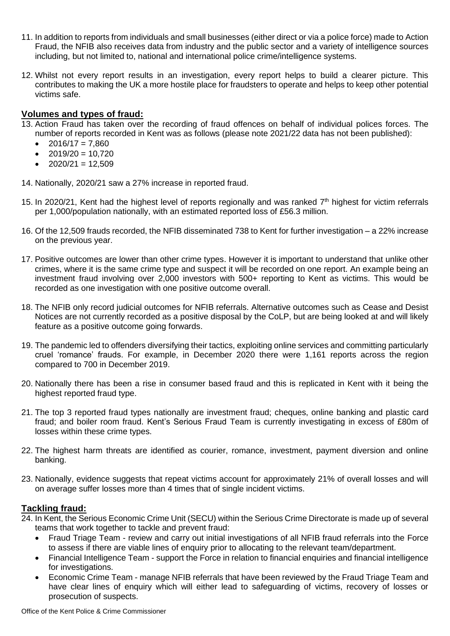- 11. In addition to reports from individuals and small businesses (either direct or via a police force) made to Action Fraud, the NFIB also receives data from industry and the public sector and a variety of intelligence sources including, but not limited to, national and international police crime/intelligence systems.
- 12. Whilst not every report results in an investigation, every report helps to build a clearer picture. This contributes to making the UK a more hostile place for fraudsters to operate and helps to keep other potential victims safe.

# **Volumes and types of fraud:**

- 13. Action Fraud has taken over the recording of fraud offences on behalf of individual polices forces. The number of reports recorded in Kent was as follows (please note 2021/22 data has not been published):
	- $2016/17 = 7,860$
	- $2019/20 = 10.720$
	- $2020/21 = 12,509$

14. Nationally, 2020/21 saw a 27% increase in reported fraud.

- 15. In 2020/21, Kent had the highest level of reports regionally and was ranked  $7<sup>th</sup>$  highest for victim referrals per 1,000/population nationally, with an estimated reported loss of £56.3 million.
- 16. Of the 12,509 frauds recorded, the NFIB disseminated 738 to Kent for further investigation a 22% increase on the previous year.
- 17. Positive outcomes are lower than other crime types. However it is important to understand that unlike other crimes, where it is the same crime type and suspect it will be recorded on one report. An example being an investment fraud involving over 2,000 investors with 500+ reporting to Kent as victims. This would be recorded as one investigation with one positive outcome overall.
- 18. The NFIB only record judicial outcomes for NFIB referrals. Alternative outcomes such as Cease and Desist Notices are not currently recorded as a positive disposal by the CoLP, but are being looked at and will likely feature as a positive outcome going forwards.
- 19. The pandemic led to offenders diversifying their tactics, exploiting online services and committing particularly cruel 'romance' frauds. For example, in December 2020 there were 1,161 reports across the region compared to 700 in December 2019.
- 20. Nationally there has been a rise in consumer based fraud and this is replicated in Kent with it being the highest reported fraud type.
- 21. The top 3 reported fraud types nationally are investment fraud; cheques, online banking and plastic card fraud; and boiler room fraud. Kent's Serious Fraud Team is currently investigating in excess of £80m of losses within these crime types.
- 22. The highest harm threats are identified as courier, romance, investment, payment diversion and online banking.
- 23. Nationally, evidence suggests that repeat victims account for approximately 21% of overall losses and will on average suffer losses more than 4 times that of single incident victims.

#### **Tackling fraud:**

- 24. In Kent, the Serious Economic Crime Unit (SECU) within the Serious Crime Directorate is made up of several teams that work together to tackle and prevent fraud:
	- Fraud Triage Team review and carry out initial investigations of all NFIB fraud referrals into the Force to assess if there are viable lines of enquiry prior to allocating to the relevant team/department.
	- Financial Intelligence Team support the Force in relation to financial enquiries and financial intelligence for investigations.
	- Economic Crime Team manage NFIB referrals that have been reviewed by the Fraud Triage Team and have clear lines of enquiry which will either lead to safeguarding of victims, recovery of losses or prosecution of suspects.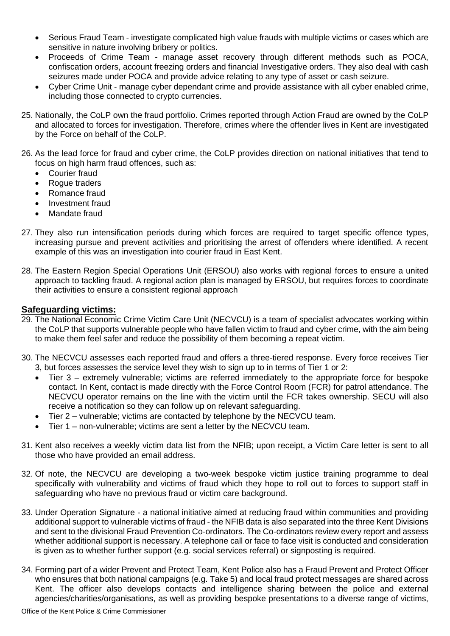- Serious Fraud Team investigate complicated high value frauds with multiple victims or cases which are sensitive in nature involving bribery or politics.
- Proceeds of Crime Team manage asset recovery through different methods such as POCA, confiscation orders, account freezing orders and financial Investigative orders. They also deal with cash seizures made under POCA and provide advice relating to any type of asset or cash seizure.
- Cyber Crime Unit manage cyber dependant crime and provide assistance with all cyber enabled crime, including those connected to crypto currencies.
- 25. Nationally, the CoLP own the fraud portfolio. Crimes reported through Action Fraud are owned by the CoLP and allocated to forces for investigation. Therefore, crimes where the offender lives in Kent are investigated by the Force on behalf of the CoLP.
- 26. As the lead force for fraud and cyber crime, the CoLP provides direction on national initiatives that tend to focus on high harm fraud offences, such as:
	- Courier fraud
	- Rogue traders
	- Romance fraud
	- Investment fraud
	- Mandate fraud
- 27. They also run intensification periods during which forces are required to target specific offence types, increasing pursue and prevent activities and prioritising the arrest of offenders where identified. A recent example of this was an investigation into courier fraud in East Kent.
- 28. The Eastern Region Special Operations Unit (ERSOU) also works with regional forces to ensure a united approach to tackling fraud. A regional action plan is managed by ERSOU, but requires forces to coordinate their activities to ensure a consistent regional approach

### **Safeguarding victims:**

- 29. The National Economic Crime Victim Care Unit (NECVCU) is a team of specialist advocates working within the CoLP that supports vulnerable people who have fallen victim to fraud and cyber crime, with the aim being to make them feel safer and reduce the possibility of them becoming a repeat victim.
- 30. The NECVCU assesses each reported fraud and offers a three-tiered response. Every force receives Tier 3, but forces assesses the service level they wish to sign up to in terms of Tier 1 or 2:
	- Tier 3 extremely vulnerable; victims are referred immediately to the appropriate force for bespoke contact. In Kent, contact is made directly with the Force Control Room (FCR) for patrol attendance. The NECVCU operator remains on the line with the victim until the FCR takes ownership. SECU will also receive a notification so they can follow up on relevant safeguarding.
	- Tier 2 vulnerable; victims are contacted by telephone by the NECVCU team.
	- Tier 1 non-vulnerable; victims are sent a letter by the NECVCU team.
- 31. Kent also receives a weekly victim data list from the NFIB; upon receipt, a Victim Care letter is sent to all those who have provided an email address.
- 32. Of note, the NECVCU are developing a two-week bespoke victim justice training programme to deal specifically with vulnerability and victims of fraud which they hope to roll out to forces to support staff in safeguarding who have no previous fraud or victim care background.
- 33. Under Operation Signature a national initiative aimed at reducing fraud within communities and providing additional support to vulnerable victims of fraud - the NFIB data is also separated into the three Kent Divisions and sent to the divisional Fraud Prevention Co-ordinators. The Co-ordinators review every report and assess whether additional support is necessary. A telephone call or face to face visit is conducted and consideration is given as to whether further support (e.g. social services referral) or signposting is required.
- 34. Forming part of a wider Prevent and Protect Team, Kent Police also has a Fraud Prevent and Protect Officer who ensures that both national campaigns (e.g. Take 5) and local fraud protect messages are shared across Kent. The officer also develops contacts and intelligence sharing between the police and external agencies/charities/organisations, as well as providing bespoke presentations to a diverse range of victims,